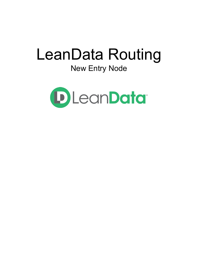# LeanData Routing New Entry Node

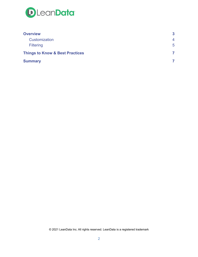

| <b>Overview</b>                            | 3           |
|--------------------------------------------|-------------|
| Customization                              | 4           |
| <b>Filtering</b>                           | $5^{\circ}$ |
| <b>Things to Know &amp; Best Practices</b> |             |
| <b>Summary</b>                             |             |

© 2021 LeanData Inc. All rights reserved. LeanData is a registered trademark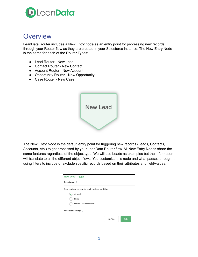

## <span id="page-2-0"></span>**Overview**

LeanData Router includes a New Entry node as an entry point for processing new records through your Router flow as they are created in your Salesforce instance. The New Entry Node is the same for each of the Router Types:

- Lead Router New Lead
- Contact Router New Contact
- Account Router New Account
- Opportunity Router New Opportunity
- Case Router New Case



The New Entry Node is the default entry point for triggering new records (Leads, Contacts, Accounts, etc.) to get processed by your LeanData Router flow. All New Entry Nodes share the same features regardless of the object type. We will use Leads as examples but the information will translate to all the different object flows. You customize this node and what passes through it using filters to include or exclude specific records based on their attributes and field/values.

| <b>New Lead Trigger</b>                        |               |
|------------------------------------------------|---------------|
| Description >                                  |               |
| New Leads to be sent through the lead workflow |               |
| All Leads                                      |               |
| None                                           |               |
| Include The Leads Below:                       |               |
| Advanced Settings >                            |               |
|                                                | Cancel<br>OK. |
|                                                |               |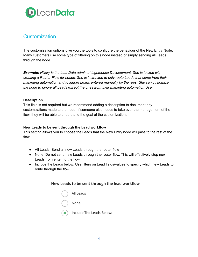

## <span id="page-3-0"></span>**Customization**

The customization options give you the tools to configure the behaviour of the New Entry Node. Many customers use some type of filtering on this node instead of simply sending all Leads through the node.

*Example: Hillary is the LeanData admin at Lighthouse Development. She is tasked with creating a Router Flow for Leads. She is instructed to only route Leads that come from their marketing automation and to ignore Leads entered manually by the reps. She can customize the node to ignore all Leads except the ones from their marketing automation User.*

#### **Description**

This field is not required but we recommend adding a description to document any customizations made to the node. If someone else needs to take over the management of the flow, they will be able to understand the goal of the customizations.

### **New Leads to be sent through the Lead workflow**

This setting allows you to choose the Leads that the New Entry node will pass to the rest of the flow.

- All Leads: Send all new Leads through the router flow
- None: Do not send new Leads through the router flow. This will effectively stop new Leads from entering the flow.
- Include the Leads below: Use filters on Lead fields/values to specify which new Leads to route through the flow.

## New Leads to be sent through the lead workflow

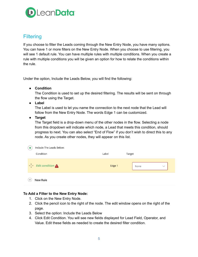

## <span id="page-4-0"></span>**Filtering**

If you choose to filter the Leads coming through the New Entry Node, you have many options. You can have 1 or more filters on the New Entry Node. When you choose to use filtering, you will see 1 default rule. You can have multiple rules with multiple conditions. When you create a rule with multiple conditions you will be given an option for how to relate the conditions within the rule.

Under the option, Include the Leads Below, you will find the following:

● **Condition**

The Condition is used to set up the desired filtering. The results will be sent on through the flow using the Target.

● **Label**

The Label is used to let you name the connection to the next node that the Lead will follow from the New Entry Node. The words Edge 1 can be customized.

● **Target**

The Target field is a drop-down menu of the other nodes in the flow. Selecting a node from this dropdown will indicate which node, a Lead that meets this condition, should progress to next. You can also select "End of Flow" if you don't wish to direct this to any node. As you create other nodes, they will appear on this list.

|       | Include The Leads Below:                |        |        |      |              |  |
|-------|-----------------------------------------|--------|--------|------|--------------|--|
|       | Condition                               | Label  | Target |      |              |  |
|       | $\leftarrow \rightarrow$ Edit condition | Edge 1 |        | None | $\checkmark$ |  |
| $\pm$ | <b>New Rule</b>                         |        |        |      |              |  |

## **To Add a Filter to the New Entry Node:**

- 1. Click on the New Entry Node.
- 2. Click the pencil icon to the right of the node. The edit window opens on the right of the page.
- 3. Select the option: Include the Leads Below
- 4. Click Edit Condition. You will see new fields displayed for Lead Field, Operator, and Value. Edit these fields as needed to create the desired filter condition.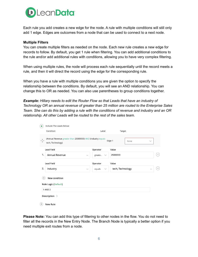

Each rule you add creates a new edge for the node. A rule with multiple conditions will still only add 1 edge. Edges are outcomes from a node that can be used to connect to a next node.

#### **Multiple Filters**

You can create multiple filters as needed on the node. Each new rule creates a new edge for records to follow. By default, you get 1 rule when filtering. You can add additional conditions to the rule and/or add additional rules with conditions, allowing you to have very complex filtering.

When using multiple rules, the node will process each rule sequentially until the record meets a rule, and then it will direct the record using the edge for the corresponding rule.

When you have a rule with multiple conditions you are given the option to specify the relationship between the conditions. By default, you will see an AND relationship. You can change this to OR as needed. You can also use parentheses to group conditions together.

*Example: Hillary needs to edit the Router Flow so that Leads that have an industry of Technology OR an annual revenue of greater than 25 million are routed to the Enterprise Sales* Team. She can do this by adding a rule with the conditions of revenue and industry and an OR *relationship. All other Leads will be routed to the rest of the sales team.*

| $\bullet$                         | Include The Leads Below:                                                         |                         |                                |  |
|-----------------------------------|----------------------------------------------------------------------------------|-------------------------|--------------------------------|--|
|                                   | Condition                                                                        | Label                   | Target                         |  |
| $\leftarrow \uparrow \rightarrow$ | (Annual Revenue greater than 25000000) AND (Industry equals<br>tech, Technology) |                         | Edge 1<br>None<br>$\checkmark$ |  |
|                                   | <b>Lead Field</b>                                                                | Operator                | Value                          |  |
| 1.                                | Annual Revenue<br>$\checkmark$                                                   | greate<br>$\smallsmile$ | 25000000                       |  |
|                                   | <b>Lead Field</b>                                                                | Operator                | Value                          |  |
| 2.                                | Industry<br>$\smallsmile$                                                        | equals<br>$\checkmark$  | tech, Technology               |  |
| $^{+}$                            | New condition                                                                    |                         |                                |  |
|                                   | <b>Rule Logic (Default)</b>                                                      |                         |                                |  |
|                                   | 1 AND 2                                                                          |                         |                                |  |
|                                   | Description >                                                                    |                         |                                |  |
| Ή                                 | <b>New Rule</b>                                                                  |                         |                                |  |

**Please Note:** You can add this type of filtering to other nodes in the flow. You do not need to filter all the records in the New Entry Node. The Branch Node is typically a better option if you need multiple exit routes from a node.